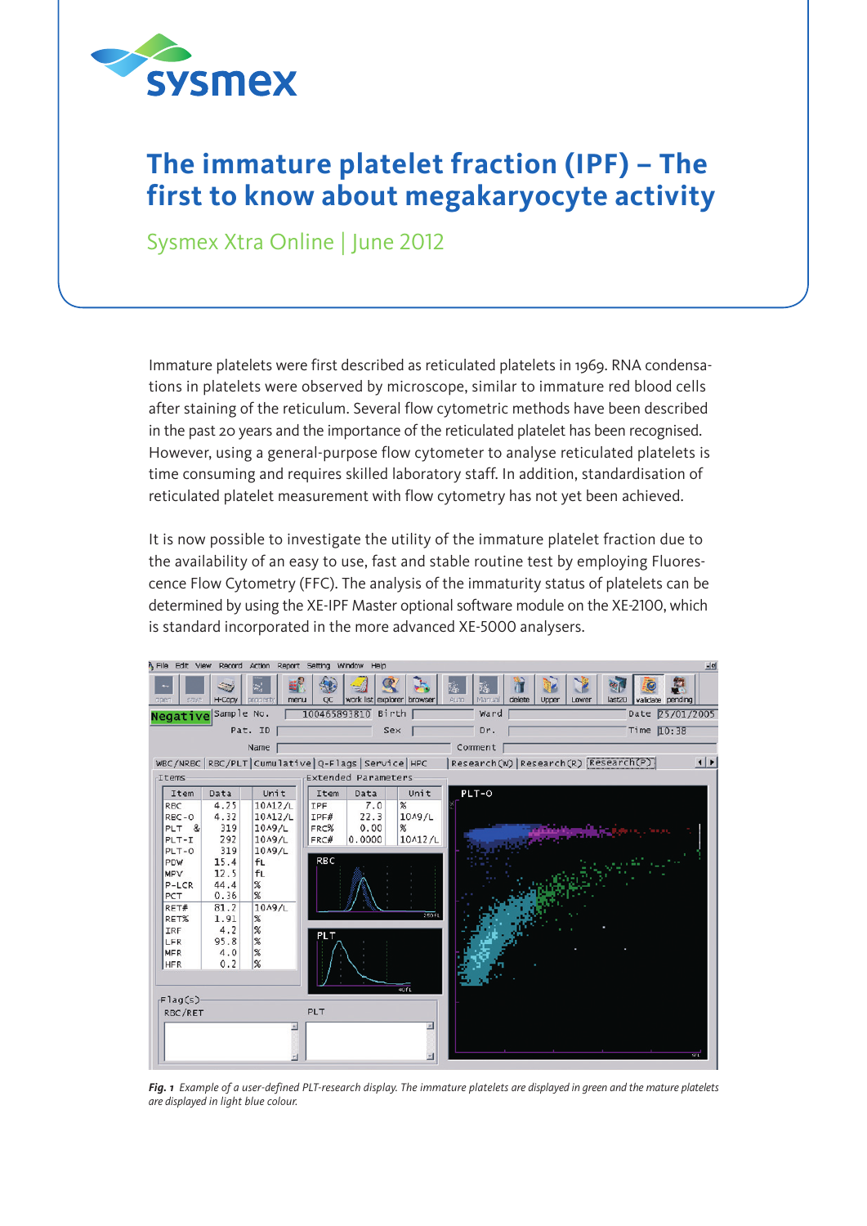

## **The immature platelet fraction (IPF) – The first to know about megakaryocyte activity**

Sysmex Xtra Online | June 2012

Immature platelets were first described as reticulated platelets in 1969. RNA condensations in platelets were observed by microscope, similar to immature red blood cells after staining of the reticulum. Several flow cytometric methods have been described in the past 20 years and the importance of the reticulated platelet has been recognised. However, using a general-purpose flow cytometer to analyse reticulated platelets is time consuming and requires skilled laboratory staff. In addition, standardisation of reticulated platelet measurement with flow cytometry has not yet been achieved.

It is now possible to investigate the utility of the immature platelet fraction due to the availability of an easy to use, fast and stable routine test by employing Fluorescence Flow Cytometry (FFC). The analysis of the immaturity status of platelets can be determined by using the XE-IPF Master optional software module on the XE-2100, which is standard incorporated in the more advanced XE-5000 analysers.



*Fig. 1 Example of a user-defined PLT-research display. The immature platelets are displayed in green and the mature platelets are displayed in light blue colour.*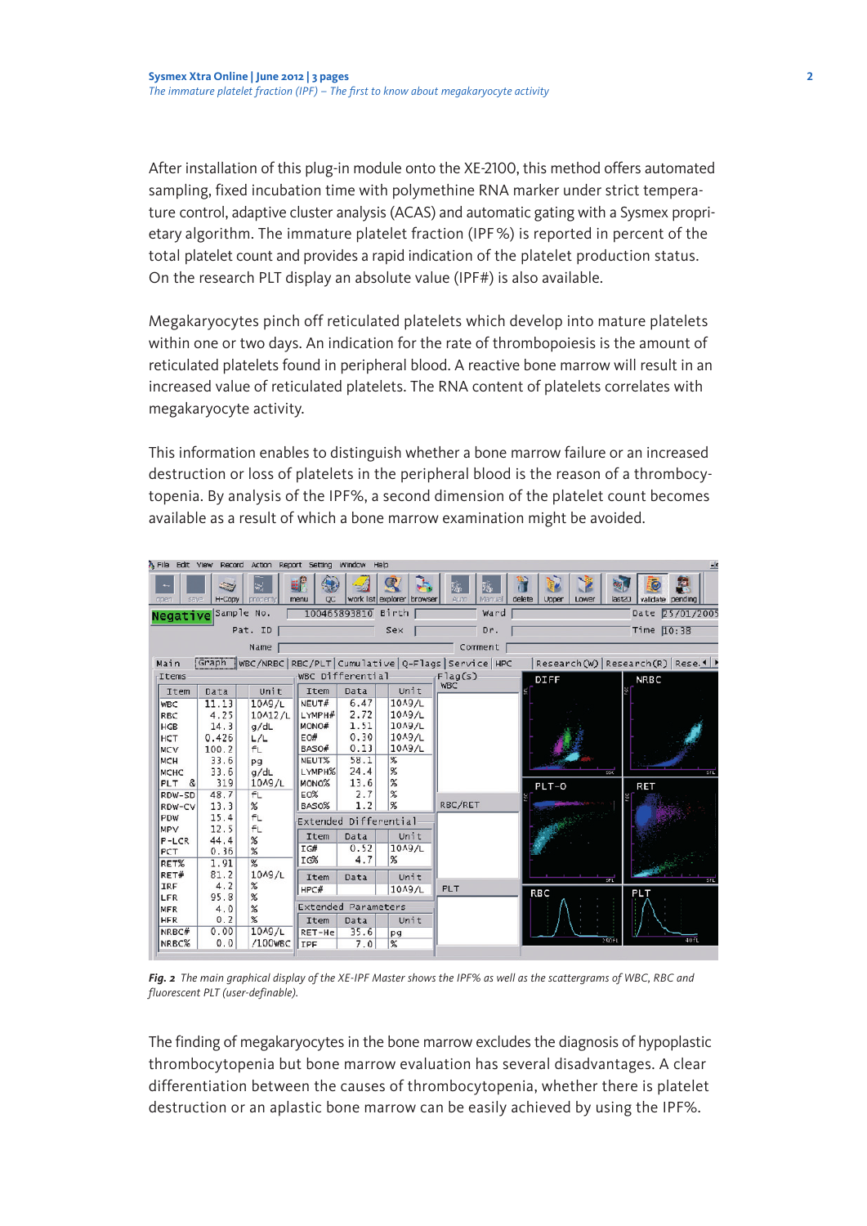After installation of this plug-in module onto the XE-2100, this method offers automated sampling, fixed incubation time with polymethine RNA marker under strict temperature control, adaptive cluster analysis (ACAS) and automatic gating with a Sysmex proprietary algorithm. The immature platelet fraction (IPF%) is reported in percent of the total platelet count and provides a rapid indication of the platelet production status. On the research PLT display an absolute value (IPF#) is also available.

Megakaryocytes pinch off reticulated platelets which develop into mature platelets within one or two days. An indication for the rate of thrombopoiesis is the amount of reticulated platelets found in peripheral blood. A reactive bone marrow will result in an increased value of reticulated platelets. The RNA content of platelets correlates with megakaryocyte activity.

This information enables to distinguish whether a bone marrow failure or an increased destruction or loss of platelets in the peripheral blood is the reason of a thrombocytopenia. By analysis of the IPF%, a second dimension of the platelet count becomes available as a result of which a bone marrow examination might be avoided.

| A File<br>Edit                                                                                      | View<br>Record         | Action<br>Report                                                          | Setting                                           | Window<br>Help       |                                                      |                |                          | -le                           |
|-----------------------------------------------------------------------------------------------------|------------------------|---------------------------------------------------------------------------|---------------------------------------------------|----------------------|------------------------------------------------------|----------------|--------------------------|-------------------------------|
| aper<br>saya                                                                                        | زی<br>H-Copy           | w.<br>property                                                            | menu<br>$_{\rm oc}$                               |                      | work list explorer browser                           | Auto<br>Manual | delete<br>Lower<br>Upper | pending<br>last20<br>validate |
| Sample No.<br>Birth<br>100465893810<br>Ward<br>Date 25/01/2005<br>Negative                          |                        |                                                                           |                                                   |                      |                                                      |                |                          |                               |
| Pat. ID<br>Sex<br>Dr.                                                                               |                        |                                                                           |                                                   |                      |                                                      |                |                          | Time 10:38                    |
| Comment<br>Name                                                                                     |                        |                                                                           |                                                   |                      |                                                      |                |                          |                               |
| Graph<br>WBC/NRBC RBC/PLT Cumulative Q-Flags Service HPC<br>Research(W) Research(R) Rese. 1<br>Main |                        |                                                                           |                                                   |                      |                                                      |                |                          |                               |
| WBC Differential<br>Items                                                                           |                        |                                                                           |                                                   |                      |                                                      | Flag(s)        | <b>DIFF</b>              | <b>NRBC</b>                   |
| Item                                                                                                | Data                   | Unit                                                                      | Item                                              | Data                 | Unit                                                 | <b>WBC</b>     |                          |                               |
| <b>WBC</b><br>RBC<br><b>HGB</b>                                                                     | 11.13<br>4.25<br>14.3  | 10A9/L<br>10A12/L<br>g/dL                                                 | NEUT#<br>LYMPH#<br>MONO#                          | 6.47<br>2.72<br>1.51 | 10 <sub>19</sub> /L<br>10 <sub>19</sub> /L<br>10A9/L |                |                          |                               |
| HCT<br><b>MCV</b><br><b>MCH</b>                                                                     | 0.426<br>100.2<br>33.6 | L/L<br>fL<br>pg                                                           | EO#<br>BASO#<br>NEUT%                             | 0.30<br>0.13<br>58.1 | 10A9/L<br>10A9/L<br>X                                |                |                          |                               |
| <b>MCHC</b><br>&<br>PLT<br>RDW-SD                                                                   | 33.6<br>319<br>48.7    | g/dL<br>10A9/L<br>fL                                                      | LYMPH%<br>MONO%<br>EO%                            | 24.4<br>13.6<br>2.7  | $\%$<br>$\%$<br>$\chi$                               |                | 550<br>$PLT-O$           | SEE<br><b>RET</b>             |
| RDW-CV<br>PDW<br><b>MPV</b>                                                                         | 13.3<br>15.4<br>12.5   | $\boldsymbol{\%}$<br>fL<br>fL<br>$\%$<br>$\%$<br>$\overline{\mathscr{L}}$ | %<br>1.2<br><b>BASO%</b><br>Extended Differential |                      |                                                      | RBC/RET        |                          |                               |
| $P-LCR$<br>PCT<br>RET%                                                                              | 44.4<br>0.36<br>1.91   |                                                                           | Item<br>IG#<br>IG%                                | Data<br>0.52<br>4.7  | Unit<br>10 <sub>19</sub> /L<br>$\%$                  |                |                          |                               |
| RET#<br>IRF                                                                                         | 81.2<br>4.2            | 10A9/L<br>$\chi$                                                          | Item<br>HPC#                                      | Data                 | Unit<br>10A9/L                                       | PLT            | SFL                      | SFL                           |
| LFR<br>MFR                                                                                          | 95.8<br>4.0            | X<br>$\boldsymbol{\%}$                                                    | Extended Parameters                               |                      |                                                      |                | <b>RBC</b>               | PLT                           |
| <b>HFR</b>                                                                                          | 0.2                    | X                                                                         | Item                                              | Data                 | Unit                                                 |                |                          |                               |
| NRBC#<br>NRBC%                                                                                      | 0.00<br>0.0            | 10A9/L<br>/100WBC                                                         | RET-He<br>IIPF                                    | 35.6<br>7.0          | pg<br>$\%$                                           |                | 2501                     | auru                          |

*Fig. 2 The main graphical display of the XE-IPF Master shows the IPF% as well as the scattergrams of WBC, RBC and fluorescent PLT (user-definable).*

The finding of megakaryocytes in the bone marrow excludes the diagnosis of hypoplastic thrombocytopenia but bone marrow evaluation has several disadvantages. A clear differentiation between the causes of thrombocytopenia, whether there is platelet destruction or an aplastic bone marrow can be easily achieved by using the IPF%.